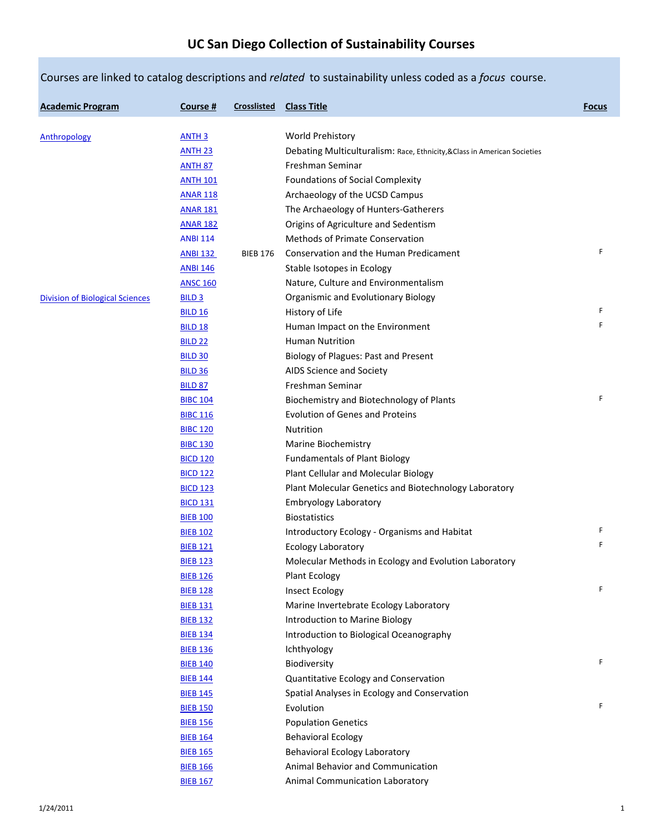|                                        |                   |                    | Courses are linked to catalog descriptions and related to sustainability unless coded as a focus course. |              |
|----------------------------------------|-------------------|--------------------|----------------------------------------------------------------------------------------------------------|--------------|
| <b>Academic Program</b>                | Course #          | <b>Crosslisted</b> | <b>Class Title</b>                                                                                       | <b>Focus</b> |
| Anthropology                           | <b>ANTH 3</b>     |                    | World Prehistory                                                                                         |              |
|                                        | <b>ANTH 23</b>    |                    | Debating Multiculturalism: Race, Ethnicity, & Class in American Societies                                |              |
|                                        | <b>ANTH 87</b>    |                    | Freshman Seminar                                                                                         |              |
|                                        | <b>ANTH 101</b>   |                    | Foundations of Social Complexity                                                                         |              |
|                                        | <b>ANAR 118</b>   |                    | Archaeology of the UCSD Campus                                                                           |              |
|                                        | <b>ANAR 181</b>   |                    | The Archaeology of Hunters-Gatherers                                                                     |              |
|                                        | <b>ANAR 182</b>   |                    | Origins of Agriculture and Sedentism                                                                     |              |
|                                        | <b>ANBI 114</b>   |                    | Methods of Primate Conservation                                                                          |              |
|                                        |                   |                    | Conservation and the Human Predicament                                                                   | F            |
|                                        | <b>ANBI 132</b>   | <b>BIEB 176</b>    |                                                                                                          |              |
|                                        | <b>ANBI 146</b>   |                    | Stable Isotopes in Ecology                                                                               |              |
|                                        | <b>ANSC 160</b>   |                    | Nature, Culture and Environmentalism                                                                     |              |
| <b>Division of Biological Sciences</b> | BILD <sub>3</sub> |                    | Organismic and Evolutionary Biology                                                                      | F            |
|                                        | <b>BILD 16</b>    |                    | History of Life                                                                                          |              |
|                                        | <b>BILD 18</b>    |                    | Human Impact on the Environment                                                                          | F            |
|                                        | <b>BILD 22</b>    |                    | Human Nutrition                                                                                          |              |
|                                        | <b>BILD 30</b>    |                    | Biology of Plagues: Past and Present                                                                     |              |
|                                        | <b>BILD 36</b>    |                    | AIDS Science and Society                                                                                 |              |
|                                        | <b>BILD 87</b>    |                    | Freshman Seminar                                                                                         |              |
|                                        | <b>BIBC 104</b>   |                    | Biochemistry and Biotechnology of Plants                                                                 | F            |
|                                        | <b>BIBC 116</b>   |                    | Evolution of Genes and Proteins                                                                          |              |
|                                        | <b>BIBC 120</b>   |                    | Nutrition                                                                                                |              |
|                                        | <b>BIBC 130</b>   |                    | Marine Biochemistry                                                                                      |              |
|                                        | <b>BICD 120</b>   |                    | <b>Fundamentals of Plant Biology</b>                                                                     |              |
|                                        | <b>BICD 122</b>   |                    | Plant Cellular and Molecular Biology                                                                     |              |
|                                        | <b>BICD 123</b>   |                    | Plant Molecular Genetics and Biotechnology Laboratory                                                    |              |
|                                        | <b>BICD 131</b>   |                    | <b>Embryology Laboratory</b>                                                                             |              |
|                                        | <b>BIEB 100</b>   |                    | Biostatistics                                                                                            |              |
|                                        | <b>BIEB 102</b>   |                    | Introductory Ecology - Organisms and Habitat                                                             | F            |
|                                        | <b>BIEB 121</b>   |                    | <b>Ecology Laboratory</b>                                                                                | $\mathsf{F}$ |
|                                        | <b>BIEB 123</b>   |                    | Molecular Methods in Ecology and Evolution Laboratory                                                    |              |
|                                        | <b>BIEB 126</b>   |                    | <b>Plant Ecology</b>                                                                                     |              |
|                                        | <b>BIEB 128</b>   |                    | <b>Insect Ecology</b>                                                                                    | F            |
|                                        | <b>BIEB 131</b>   |                    | Marine Invertebrate Ecology Laboratory                                                                   |              |
|                                        | <b>BIEB 132</b>   |                    | Introduction to Marine Biology                                                                           |              |
|                                        | <b>BIEB 134</b>   |                    | Introduction to Biological Oceanography                                                                  |              |
|                                        | <b>BIEB 136</b>   |                    | Ichthyology                                                                                              |              |
|                                        | <b>BIEB 140</b>   |                    | Biodiversity                                                                                             | F            |
|                                        |                   |                    |                                                                                                          |              |
|                                        | <b>BIEB 144</b>   |                    | Quantitative Ecology and Conservation                                                                    |              |
|                                        | <b>BIEB 145</b>   |                    | Spatial Analyses in Ecology and Conservation                                                             | F            |
|                                        | <b>BIEB 150</b>   |                    | Evolution                                                                                                |              |
|                                        | <b>BIEB 156</b>   |                    | <b>Population Genetics</b>                                                                               |              |
|                                        | <b>BIEB 164</b>   |                    | <b>Behavioral Ecology</b>                                                                                |              |
|                                        | <b>BIEB 165</b>   |                    | <b>Behavioral Ecology Laboratory</b>                                                                     |              |
|                                        | <b>BIEB 166</b>   |                    | Animal Behavior and Communication                                                                        |              |
|                                        | <b>BIEB 167</b>   |                    | Animal Communication Laboratory                                                                          |              |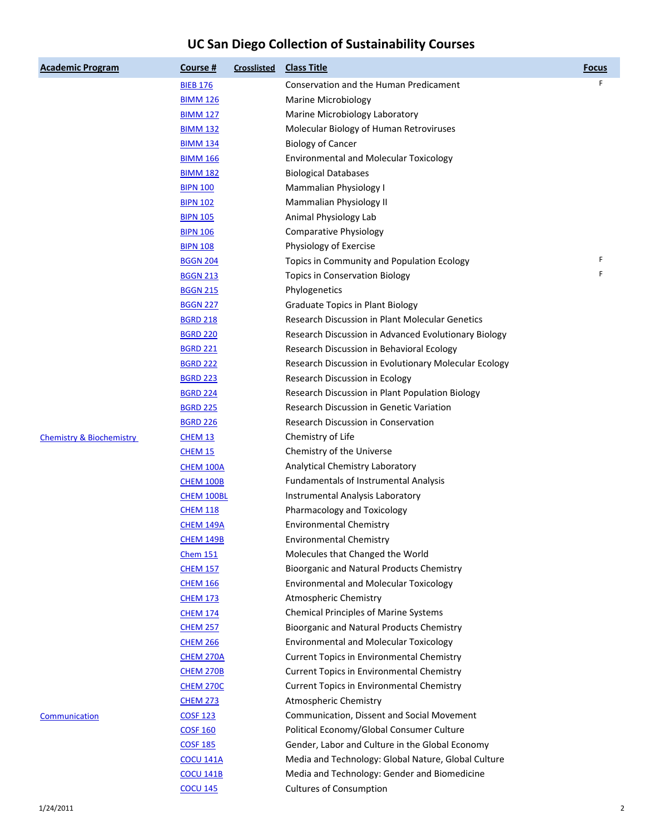| <b>Academic Program</b>             | <u>Course #</u>               | <b>Crosslisted</b> | <b>Class Title</b>                                     | <b>Focus</b> |
|-------------------------------------|-------------------------------|--------------------|--------------------------------------------------------|--------------|
|                                     | <b>BIEB 176</b>               |                    | Conservation and the Human Predicament                 | F            |
|                                     | <b>BIMM 126</b>               |                    | <b>Marine Microbiology</b>                             |              |
|                                     | <b>BIMM 127</b>               |                    | Marine Microbiology Laboratory                         |              |
|                                     | <b>BIMM 132</b>               |                    | Molecular Biology of Human Retroviruses                |              |
|                                     | <b>BIMM 134</b>               |                    | <b>Biology of Cancer</b>                               |              |
|                                     | <b>BIMM 166</b>               |                    | <b>Environmental and Molecular Toxicology</b>          |              |
|                                     | <b>BIMM 182</b>               |                    | <b>Biological Databases</b>                            |              |
|                                     | <b>BIPN 100</b>               |                    | Mammalian Physiology I                                 |              |
|                                     | <b>BIPN 102</b>               |                    | Mammalian Physiology II                                |              |
|                                     | <b>BIPN 105</b>               |                    | Animal Physiology Lab                                  |              |
|                                     | <b>BIPN 106</b>               |                    | Comparative Physiology                                 |              |
|                                     | <b>BIPN 108</b>               |                    | Physiology of Exercise                                 |              |
|                                     | <b>BGGN 204</b>               |                    | Topics in Community and Population Ecology             | F            |
|                                     | <b>BGGN 213</b>               |                    | <b>Topics in Conservation Biology</b>                  | F            |
|                                     | <b>BGGN 215</b>               |                    | Phylogenetics                                          |              |
|                                     | <b>BGGN 227</b>               |                    | <b>Graduate Topics in Plant Biology</b>                |              |
|                                     | <b>BGRD 218</b>               |                    | <b>Research Discussion in Plant Molecular Genetics</b> |              |
|                                     | <b>BGRD 220</b>               |                    | Research Discussion in Advanced Evolutionary Biology   |              |
|                                     | <b>BGRD 221</b>               |                    | Research Discussion in Behavioral Ecology              |              |
|                                     | <b>BGRD 222</b>               |                    | Research Discussion in Evolutionary Molecular Ecology  |              |
|                                     | <b>BGRD 223</b>               |                    | Research Discussion in Ecology                         |              |
|                                     | <b>BGRD 224</b>               |                    | Research Discussion in Plant Population Biology        |              |
|                                     | <b>BGRD 225</b>               |                    | Research Discussion in Genetic Variation               |              |
|                                     | <b>BGRD 226</b>               |                    | Research Discussion in Conservation                    |              |
| <b>Chemistry &amp; Biochemistry</b> | CHEM 13                       |                    | Chemistry of Life                                      |              |
|                                     | <b>CHEM 15</b>                |                    | Chemistry of the Universe                              |              |
|                                     |                               |                    | Analytical Chemistry Laboratory                        |              |
|                                     | CHEM 100A<br><b>CHEM 100B</b> |                    | <b>Fundamentals of Instrumental Analysis</b>           |              |
|                                     |                               |                    | Instrumental Analysis Laboratory                       |              |
|                                     | CHEM 100BL<br><u>CHEM 118</u> |                    | Pharmacology and Toxicology                            |              |
|                                     | CHEM 149A                     |                    | <b>Environmental Chemistry</b>                         |              |
|                                     | CHEM 149B                     |                    |                                                        |              |
|                                     |                               |                    | <b>Environmental Chemistry</b>                         |              |
|                                     | <b>Chem 151</b>               |                    | Molecules that Changed the World                       |              |
|                                     | <b>CHEM 157</b>               |                    | Bioorganic and Natural Products Chemistry              |              |
|                                     | <b>CHEM 166</b>               |                    | <b>Environmental and Molecular Toxicology</b>          |              |
|                                     | <u>CHEM 173</u>               |                    | <b>Atmospheric Chemistry</b>                           |              |
|                                     | <b>CHEM 174</b>               |                    | <b>Chemical Principles of Marine Systems</b>           |              |
|                                     | <b>CHEM 257</b>               |                    | <b>Bioorganic and Natural Products Chemistry</b>       |              |
|                                     | <b>CHEM 266</b>               |                    | <b>Environmental and Molecular Toxicology</b>          |              |
|                                     | CHEM 270A                     |                    | <b>Current Topics in Environmental Chemistry</b>       |              |
|                                     | <b>CHEM 270B</b>              |                    | <b>Current Topics in Environmental Chemistry</b>       |              |
|                                     | <b>CHEM 270C</b>              |                    | <b>Current Topics in Environmental Chemistry</b>       |              |
|                                     | <b>CHEM 273</b>               |                    | <b>Atmospheric Chemistry</b>                           |              |
| Communication                       | <u>COSF 123</u>               |                    | Communication, Dissent and Social Movement             |              |
|                                     | <b>COSF 160</b>               |                    | Political Economy/Global Consumer Culture              |              |
|                                     | <b>COSF 185</b>               |                    | Gender, Labor and Culture in the Global Economy        |              |
|                                     | <b>COCU 141A</b>              |                    | Media and Technology: Global Nature, Global Culture    |              |
|                                     | <b>COCU 141B</b>              |                    | Media and Technology: Gender and Biomedicine           |              |
|                                     | <b>COCU 145</b>               |                    | <b>Cultures of Consumption</b>                         |              |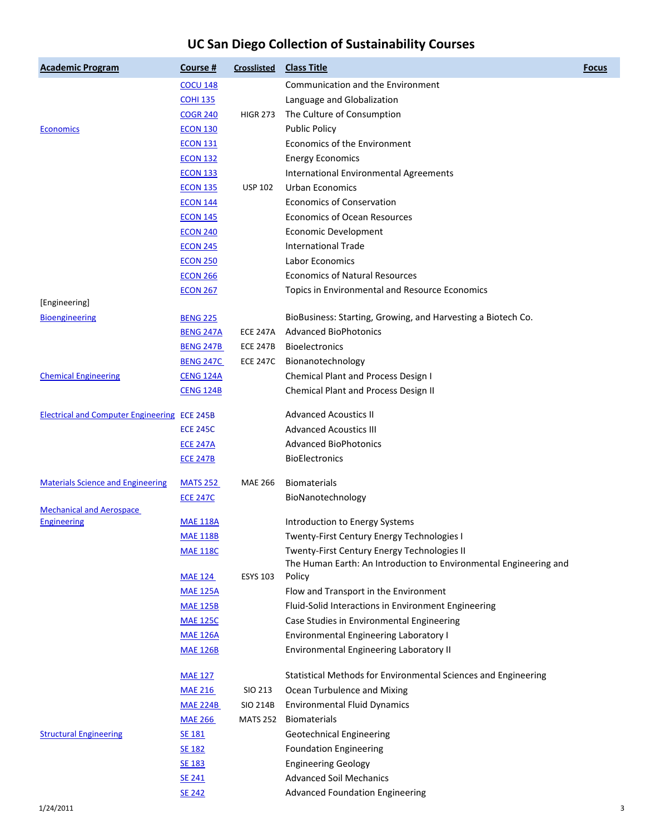| <b>Academic Program</b>                             | Course $#$       | Crosslisted     | <b>Class Title</b>                                                                               | <b>Focus</b> |
|-----------------------------------------------------|------------------|-----------------|--------------------------------------------------------------------------------------------------|--------------|
|                                                     | <b>COCU 148</b>  |                 | Communication and the Environment                                                                |              |
|                                                     | <b>COHI 135</b>  |                 | Language and Globalization                                                                       |              |
|                                                     | <b>COGR 240</b>  | <b>HIGR 273</b> | The Culture of Consumption                                                                       |              |
| <b>Economics</b>                                    | <b>ECON 130</b>  |                 | <b>Public Policy</b>                                                                             |              |
|                                                     | <b>ECON 131</b>  |                 | Economics of the Environment                                                                     |              |
|                                                     | <b>ECON 132</b>  |                 | <b>Energy Economics</b>                                                                          |              |
|                                                     | <b>ECON 133</b>  |                 | International Environmental Agreements                                                           |              |
|                                                     | <b>ECON 135</b>  | <b>USP 102</b>  | <b>Urban Economics</b>                                                                           |              |
|                                                     | <b>ECON 144</b>  |                 | <b>Economics of Conservation</b>                                                                 |              |
|                                                     | <b>ECON 145</b>  |                 | <b>Economics of Ocean Resources</b>                                                              |              |
|                                                     | <b>ECON 240</b>  |                 | <b>Economic Development</b>                                                                      |              |
|                                                     | <b>ECON 245</b>  |                 | <b>International Trade</b>                                                                       |              |
|                                                     | <b>ECON 250</b>  |                 | <b>Labor Economics</b>                                                                           |              |
|                                                     | <b>ECON 266</b>  |                 | <b>Economics of Natural Resources</b>                                                            |              |
|                                                     | <b>ECON 267</b>  |                 | Topics in Environmental and Resource Economics                                                   |              |
| [Engineering]                                       |                  |                 |                                                                                                  |              |
| <b>Bioengineering</b>                               | <b>BENG 225</b>  |                 | BioBusiness: Starting, Growing, and Harvesting a Biotech Co.                                     |              |
|                                                     | <b>BENG 247A</b> | <b>ECE 247A</b> | <b>Advanced BioPhotonics</b>                                                                     |              |
|                                                     | <b>BENG 247B</b> | <b>ECE 247B</b> | <b>Bioelectronics</b>                                                                            |              |
|                                                     | <b>BENG 247C</b> | <b>ECE 247C</b> | Bionanotechnology                                                                                |              |
| <b>Chemical Engineering</b>                         | <b>CENG 124A</b> |                 | <b>Chemical Plant and Process Design I</b>                                                       |              |
|                                                     | <b>CENG 124B</b> |                 | <b>Chemical Plant and Process Design II</b>                                                      |              |
| <b>Electrical and Computer Engineering ECE 245B</b> |                  |                 | <b>Advanced Acoustics II</b>                                                                     |              |
|                                                     | <b>ECE 245C</b>  |                 | <b>Advanced Acoustics III</b>                                                                    |              |
|                                                     | <b>ECE 247A</b>  |                 | <b>Advanced BioPhotonics</b>                                                                     |              |
|                                                     | <b>ECE 247B</b>  |                 | <b>BioElectronics</b>                                                                            |              |
| <b>Materials Science and Engineering</b>            | <u>MATS 252</u>  | <b>MAE 266</b>  | <b>Biomaterials</b>                                                                              |              |
|                                                     | <b>ECE 247C</b>  |                 | BioNanotechnology                                                                                |              |
| <b>Mechanical and Aerospace</b>                     | <b>MAE 118A</b>  |                 | Introduction to Energy Systems                                                                   |              |
| Engineering                                         | <b>MAE 118B</b>  |                 |                                                                                                  |              |
|                                                     |                  |                 | <b>Twenty-First Century Energy Technologies I</b><br>Twenty-First Century Energy Technologies II |              |
|                                                     | <b>MAE 118C</b>  |                 | The Human Earth: An Introduction to Environmental Engineering and                                |              |
|                                                     | <b>MAE 124</b>   | <b>ESYS 103</b> | Policy                                                                                           |              |
|                                                     | <b>MAE 125A</b>  |                 | Flow and Transport in the Environment                                                            |              |
|                                                     | <b>MAE 125B</b>  |                 | Fluid-Solid Interactions in Environment Engineering                                              |              |
|                                                     | <b>MAE 125C</b>  |                 | Case Studies in Environmental Engineering                                                        |              |
|                                                     | <b>MAE 126A</b>  |                 | <b>Environmental Engineering Laboratory I</b>                                                    |              |
|                                                     | <b>MAE 126B</b>  |                 | Environmental Engineering Laboratory II                                                          |              |
|                                                     | <b>MAE 127</b>   |                 | Statistical Methods for Environmental Sciences and Engineering                                   |              |
|                                                     | <b>MAE 216</b>   | SIO 213         | Ocean Turbulence and Mixing                                                                      |              |
|                                                     | <b>MAE 224B</b>  | <b>SIO 214B</b> | <b>Environmental Fluid Dynamics</b>                                                              |              |
|                                                     | <b>MAE 266</b>   | <b>MATS 252</b> | <b>Biomaterials</b>                                                                              |              |
| <b>Structural Engineering</b>                       | <b>SE 181</b>    |                 | <b>Geotechnical Engineering</b>                                                                  |              |
|                                                     | SE 182           |                 | <b>Foundation Engineering</b>                                                                    |              |
|                                                     | SE 183           |                 | <b>Engineering Geology</b>                                                                       |              |
|                                                     | SE 241           |                 | <b>Advanced Soil Mechanics</b>                                                                   |              |
|                                                     | SE 242           |                 | <b>Advanced Foundation Engineering</b>                                                           |              |
|                                                     |                  |                 |                                                                                                  |              |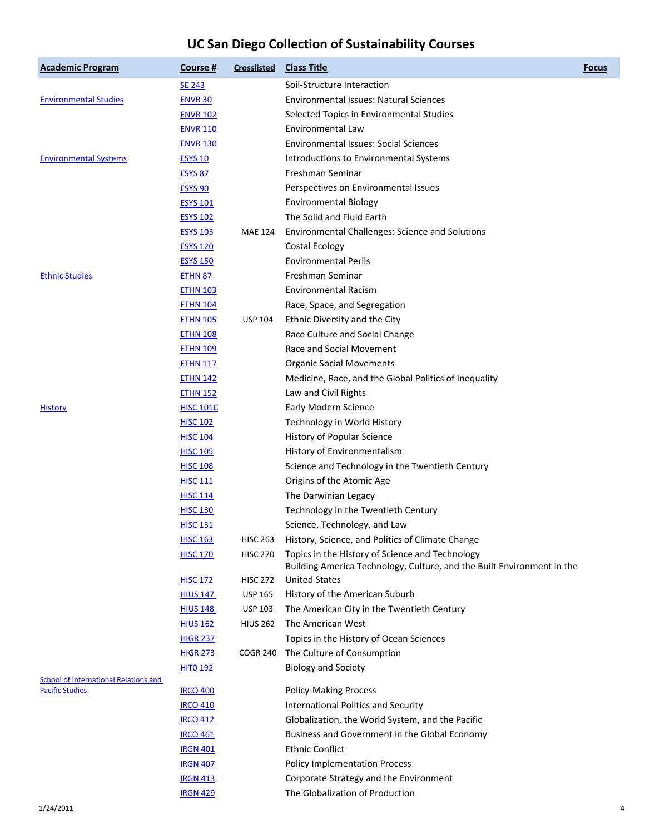| <b>Academic Program</b>                      | Course #         | <b>Crosslisted</b> | <b>Class Title</b>                                                                                                        | <b>Focus</b> |
|----------------------------------------------|------------------|--------------------|---------------------------------------------------------------------------------------------------------------------------|--------------|
|                                              | <b>SE 243</b>    |                    | Soil-Structure Interaction                                                                                                |              |
| <b>Environmental Studies</b>                 | <b>ENVR 30</b>   |                    | <b>Environmental Issues: Natural Sciences</b>                                                                             |              |
|                                              | <b>ENVR 102</b>  |                    | Selected Topics in Environmental Studies                                                                                  |              |
|                                              | <b>ENVR 110</b>  |                    | Environmental Law                                                                                                         |              |
|                                              | <b>ENVR 130</b>  |                    | <b>Environmental Issues: Social Sciences</b>                                                                              |              |
| <b>Environmental Systems</b>                 | <b>ESYS 10</b>   |                    | Introductions to Environmental Systems                                                                                    |              |
|                                              | ESYS 87          |                    | Freshman Seminar                                                                                                          |              |
|                                              | <b>ESYS 90</b>   |                    | Perspectives on Environmental Issues                                                                                      |              |
|                                              | <b>ESYS 101</b>  |                    | <b>Environmental Biology</b>                                                                                              |              |
|                                              | <b>ESYS 102</b>  |                    | The Solid and Fluid Earth                                                                                                 |              |
|                                              | <b>ESYS 103</b>  | <b>MAE 124</b>     | Environmental Challenges: Science and Solutions                                                                           |              |
|                                              | <b>ESYS 120</b>  |                    | <b>Costal Ecology</b>                                                                                                     |              |
|                                              | <b>ESYS 150</b>  |                    | <b>Environmental Perils</b>                                                                                               |              |
| <b>Ethnic Studies</b>                        | <b>ETHN 87</b>   |                    | Freshman Seminar                                                                                                          |              |
|                                              | <b>ETHN 103</b>  |                    | <b>Environmental Racism</b>                                                                                               |              |
|                                              | <b>ETHN 104</b>  |                    | Race, Space, and Segregation                                                                                              |              |
|                                              | <b>ETHN 105</b>  | <b>USP 104</b>     | Ethnic Diversity and the City                                                                                             |              |
|                                              | <b>ETHN 108</b>  |                    | Race Culture and Social Change                                                                                            |              |
|                                              | <b>ETHN 109</b>  |                    | Race and Social Movement                                                                                                  |              |
|                                              | <u>ETHN 117</u>  |                    | <b>Organic Social Movements</b>                                                                                           |              |
|                                              | <u>ETHN 142</u>  |                    | Medicine, Race, and the Global Politics of Inequality                                                                     |              |
|                                              | <b>ETHN 152</b>  |                    | Law and Civil Rights                                                                                                      |              |
| <b>History</b>                               | <b>HISC 101C</b> |                    | <b>Early Modern Science</b>                                                                                               |              |
|                                              | <b>HISC 102</b>  |                    | Technology in World History                                                                                               |              |
|                                              | <b>HISC 104</b>  |                    | History of Popular Science                                                                                                |              |
|                                              | <b>HISC 105</b>  |                    | History of Environmentalism                                                                                               |              |
|                                              | <b>HISC 108</b>  |                    | Science and Technology in the Twentieth Century                                                                           |              |
|                                              | <u>HISC 111</u>  |                    | Origins of the Atomic Age                                                                                                 |              |
|                                              | <b>HISC 114</b>  |                    | The Darwinian Legacy                                                                                                      |              |
|                                              | <b>HISC 130</b>  |                    | Technology in the Twentieth Century                                                                                       |              |
|                                              | <b>HISC 131</b>  |                    | Science, Technology, and Law                                                                                              |              |
|                                              | <b>HISC 163</b>  | <b>HISC 263</b>    | History, Science, and Politics of Climate Change                                                                          |              |
|                                              | <b>HISC 170</b>  | <b>HISC 270</b>    | Topics in the History of Science and Technology<br>Building America Technology, Culture, and the Built Environment in the |              |
|                                              | <b>HISC 172</b>  | <b>HISC 272</b>    | <b>United States</b>                                                                                                      |              |
|                                              | <b>HIUS 147</b>  | <b>USP 165</b>     | History of the American Suburb                                                                                            |              |
|                                              | <b>HIUS 148</b>  | <b>USP 103</b>     | The American City in the Twentieth Century                                                                                |              |
|                                              | <b>HIUS 162</b>  | <b>HIUS 262</b>    | The American West                                                                                                         |              |
|                                              | <b>HIGR 237</b>  |                    | Topics in the History of Ocean Sciences                                                                                   |              |
|                                              | <b>HIGR 273</b>  | <b>COGR 240</b>    | The Culture of Consumption                                                                                                |              |
|                                              | <b>HITO 192</b>  |                    | <b>Biology and Society</b>                                                                                                |              |
| <b>School of International Relations and</b> |                  |                    |                                                                                                                           |              |
| <b>Pacific Studies</b>                       | <b>IRCO 400</b>  |                    | <b>Policy-Making Process</b>                                                                                              |              |
|                                              | <b>IRCO 410</b>  |                    | <b>International Politics and Security</b>                                                                                |              |
|                                              | <b>IRCO 412</b>  |                    | Globalization, the World System, and the Pacific                                                                          |              |
|                                              | <b>IRCO 461</b>  |                    | Business and Government in the Global Economy                                                                             |              |
|                                              | <b>IRGN 401</b>  |                    | <b>Ethnic Conflict</b>                                                                                                    |              |
|                                              | <b>IRGN 407</b>  |                    | <b>Policy Implementation Process</b>                                                                                      |              |
|                                              | <b>IRGN 413</b>  |                    | Corporate Strategy and the Environment                                                                                    |              |
|                                              | <b>IRGN 429</b>  |                    | The Globalization of Production                                                                                           |              |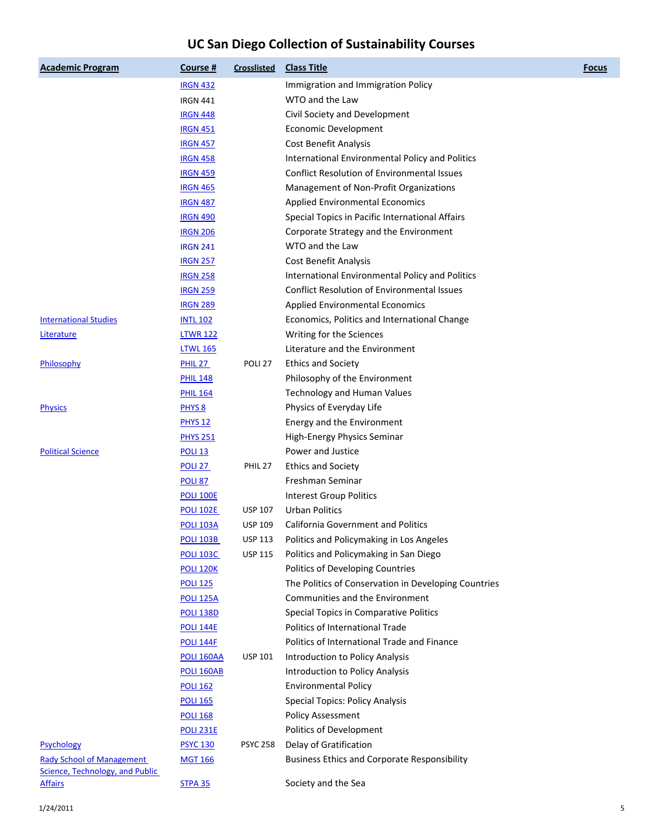| <b>Academic Program</b>          | Course #           | Crosslisted        | <b>Class Title</b>                                   | <b>Focus</b> |
|----------------------------------|--------------------|--------------------|------------------------------------------------------|--------------|
|                                  | <b>IRGN 432</b>    |                    | Immigration and Immigration Policy                   |              |
|                                  | <b>IRGN 441</b>    |                    | WTO and the Law                                      |              |
|                                  | <b>IRGN 448</b>    |                    | Civil Society and Development                        |              |
|                                  | <b>IRGN 451</b>    |                    | <b>Economic Development</b>                          |              |
|                                  | <b>IRGN 457</b>    |                    | Cost Benefit Analysis                                |              |
|                                  | <b>IRGN 458</b>    |                    | International Environmental Policy and Politics      |              |
|                                  | <b>IRGN 459</b>    |                    | <b>Conflict Resolution of Environmental Issues</b>   |              |
|                                  | <b>IRGN 465</b>    |                    | Management of Non-Profit Organizations               |              |
|                                  | <b>IRGN 487</b>    |                    | <b>Applied Environmental Economics</b>               |              |
|                                  | <b>IRGN 490</b>    |                    | Special Topics in Pacific International Affairs      |              |
|                                  | <b>IRGN 206</b>    |                    | Corporate Strategy and the Environment               |              |
|                                  | <b>IRGN 241</b>    |                    | WTO and the Law                                      |              |
|                                  | <b>IRGN 257</b>    |                    | Cost Benefit Analysis                                |              |
|                                  | <b>IRGN 258</b>    |                    | International Environmental Policy and Politics      |              |
|                                  | <b>IRGN 259</b>    |                    | <b>Conflict Resolution of Environmental Issues</b>   |              |
|                                  | <b>IRGN 289</b>    |                    | <b>Applied Environmental Economics</b>               |              |
| <b>International Studies</b>     | <b>INTL 102</b>    |                    | Economics, Politics and International Change         |              |
| Literature                       | <b>LTWR 122</b>    |                    | Writing for the Sciences                             |              |
|                                  | <b>LTWL 165</b>    |                    | Literature and the Environment                       |              |
| Philosophy                       | PHIL <sub>27</sub> | POLI <sub>27</sub> | <b>Ethics and Society</b>                            |              |
|                                  | <b>PHIL 148</b>    |                    | Philosophy of the Environment                        |              |
|                                  | <b>PHIL 164</b>    |                    | <b>Technology and Human Values</b>                   |              |
| <b>Physics</b>                   | PHYS <sub>8</sub>  |                    | Physics of Everyday Life                             |              |
|                                  | <b>PHYS 12</b>     |                    | Energy and the Environment                           |              |
|                                  | <b>PHYS 251</b>    |                    | High-Energy Physics Seminar                          |              |
| <b>Political Science</b>         | <b>POLI 13</b>     |                    | Power and Justice                                    |              |
|                                  | POLI <sub>27</sub> | PHIL <sub>27</sub> | <b>Ethics and Society</b>                            |              |
|                                  | <b>POLI 87</b>     |                    | Freshman Seminar                                     |              |
|                                  | <b>POLI 100E</b>   |                    | <b>Interest Group Politics</b>                       |              |
|                                  | <b>POLI 102E</b>   | <b>USP 107</b>     | <b>Urban Politics</b>                                |              |
|                                  | <b>POLI 103A</b>   | <b>USP 109</b>     | <b>California Government and Politics</b>            |              |
|                                  | <b>POLI 103B</b>   | <b>USP 113</b>     | Politics and Policymaking in Los Angeles             |              |
|                                  | <b>POLI 103C</b>   | <b>USP 115</b>     | Politics and Policymaking in San Diego               |              |
|                                  | <b>POLI 120K</b>   |                    | Politics of Developing Countries                     |              |
|                                  | <b>POLI 125</b>    |                    | The Politics of Conservation in Developing Countries |              |
|                                  | <b>POLI 125A</b>   |                    | Communities and the Environment                      |              |
|                                  | <b>POLI 138D</b>   |                    | Special Topics in Comparative Politics               |              |
|                                  | <b>POLI 144E</b>   |                    | Politics of International Trade                      |              |
|                                  | <b>POLI 144F</b>   |                    | Politics of International Trade and Finance          |              |
|                                  | <b>POLI 160AA</b>  | <b>USP 101</b>     | Introduction to Policy Analysis                      |              |
|                                  | <b>POLI 160AB</b>  |                    | Introduction to Policy Analysis                      |              |
|                                  | <b>POLI 162</b>    |                    | <b>Environmental Policy</b>                          |              |
|                                  | <b>POLI 165</b>    |                    | Special Topics: Policy Analysis                      |              |
|                                  | <b>POLI 168</b>    |                    | Policy Assessment                                    |              |
|                                  | <b>POLI 231E</b>   |                    | Politics of Development                              |              |
| Psychology                       | <b>PSYC 130</b>    | <b>PSYC 258</b>    | Delay of Gratification                               |              |
| <b>Rady School of Management</b> | <b>MGT 166</b>     |                    | <b>Business Ethics and Corporate Responsibility</b>  |              |
| Science, Technology, and Public  |                    |                    |                                                      |              |
| <b>Affairs</b>                   | <b>STPA 35</b>     |                    | Society and the Sea                                  |              |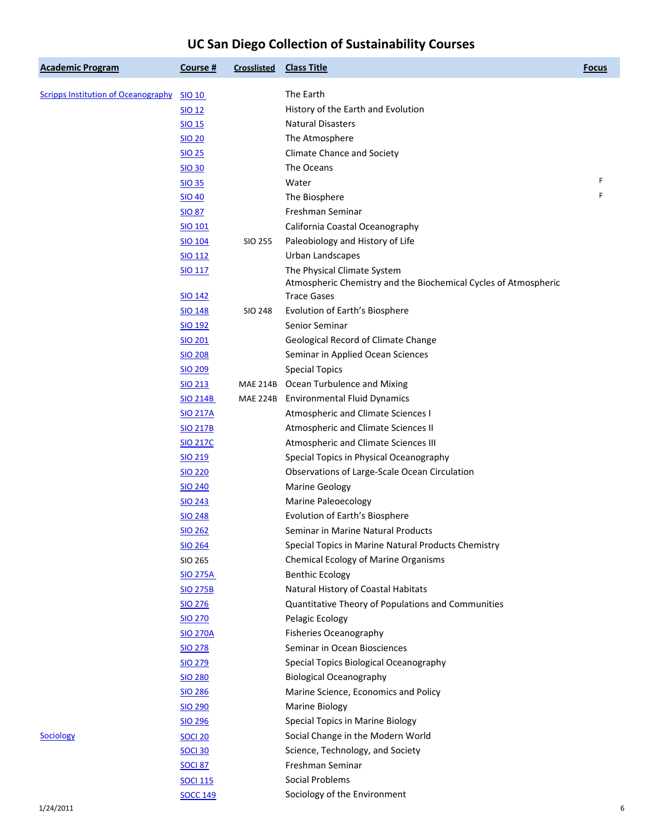| <b>Academic Program</b>                    | Course #        | Crosslisted | <b>Class Title</b>                                              | <b>Focus</b> |
|--------------------------------------------|-----------------|-------------|-----------------------------------------------------------------|--------------|
| <b>Scripps Institution of Oceanography</b> | SIO 10          |             | The Earth                                                       |              |
|                                            | <b>SIO 12</b>   |             | History of the Earth and Evolution                              |              |
|                                            | SIO 15          |             | <b>Natural Disasters</b>                                        |              |
|                                            | <b>SIO 20</b>   |             | The Atmosphere                                                  |              |
|                                            | <b>SIO 25</b>   |             | <b>Climate Chance and Society</b>                               |              |
|                                            | <b>SIO 30</b>   |             | The Oceans                                                      |              |
|                                            | <b>SIO 35</b>   |             | Water                                                           | F            |
|                                            | <b>SIO 40</b>   |             | The Biosphere                                                   | F            |
|                                            | <b>SIO 87</b>   |             | Freshman Seminar                                                |              |
|                                            | <b>SIO 101</b>  |             | California Coastal Oceanography                                 |              |
|                                            | <b>SIO 104</b>  | SIO 255     | Paleobiology and History of Life                                |              |
|                                            | <b>SIO 112</b>  |             | Urban Landscapes                                                |              |
|                                            | <b>SIO 117</b>  |             | The Physical Climate System                                     |              |
|                                            |                 |             | Atmospheric Chemistry and the Biochemical Cycles of Atmospheric |              |
|                                            | <b>SIO 142</b>  |             | <b>Trace Gases</b>                                              |              |
|                                            | <b>SIO 148</b>  | SIO 248     | Evolution of Earth's Biosphere                                  |              |
|                                            | <b>SIO 192</b>  |             | Senior Seminar                                                  |              |
|                                            | <b>SIO 201</b>  |             | Geological Record of Climate Change                             |              |
|                                            | <b>SIO 208</b>  |             | Seminar in Applied Ocean Sciences                               |              |
|                                            | <b>SIO 209</b>  |             | <b>Special Topics</b>                                           |              |
|                                            | <b>SIO 213</b>  |             | MAE 214B Ocean Turbulence and Mixing                            |              |
|                                            | <b>SIO 214B</b> |             | MAE 224B Environmental Fluid Dynamics                           |              |
|                                            | <b>SIO 217A</b> |             | Atmospheric and Climate Sciences I                              |              |
|                                            | <b>SIO 217B</b> |             | Atmospheric and Climate Sciences II                             |              |
|                                            | <b>SIO 217C</b> |             | Atmospheric and Climate Sciences III                            |              |
|                                            | <b>SIO 219</b>  |             | Special Topics in Physical Oceanography                         |              |
|                                            | <b>SIO 220</b>  |             | Observations of Large-Scale Ocean Circulation                   |              |
|                                            | <b>SIO 240</b>  |             | <b>Marine Geology</b>                                           |              |
|                                            | SIO 243         |             | <b>Marine Paleoecology</b>                                      |              |
|                                            | <b>SIO 248</b>  |             | Evolution of Earth's Biosphere                                  |              |
|                                            | <b>SIO 262</b>  |             | Seminar in Marine Natural Products                              |              |
|                                            | <b>SIO 264</b>  |             | Special Topics in Marine Natural Products Chemistry             |              |
|                                            | SIO 265         |             | <b>Chemical Ecology of Marine Organisms</b>                     |              |
|                                            | <b>SIO 275A</b> |             | <b>Benthic Ecology</b>                                          |              |
|                                            | <b>SIO 275B</b> |             | Natural History of Coastal Habitats                             |              |
|                                            | SIO 276         |             | Quantitative Theory of Populations and Communities              |              |
|                                            | <b>SIO 270</b>  |             | Pelagic Ecology                                                 |              |
|                                            | <b>SIO 270A</b> |             | <b>Fisheries Oceanography</b>                                   |              |
|                                            | <b>SIO 278</b>  |             | Seminar in Ocean Biosciences                                    |              |
|                                            | <b>SIO 279</b>  |             | Special Topics Biological Oceanography                          |              |
|                                            | <b>SIO 280</b>  |             | <b>Biological Oceanography</b>                                  |              |
|                                            | <b>SIO 286</b>  |             | Marine Science, Economics and Policy                            |              |
|                                            | <b>SIO 290</b>  |             | <b>Marine Biology</b>                                           |              |
|                                            | <b>SIO 296</b>  |             | Special Topics in Marine Biology                                |              |
| <b>Sociology</b>                           | <b>SOCI 20</b>  |             | Social Change in the Modern World                               |              |
|                                            | <b>SOCI 30</b>  |             | Science, Technology, and Society                                |              |
|                                            | <b>SOCI 87</b>  |             | Freshman Seminar                                                |              |
|                                            | <b>SOCI 115</b> |             | Social Problems                                                 |              |
|                                            | <b>SOCC 149</b> |             | Sociology of the Environment                                    |              |
|                                            |                 |             |                                                                 |              |